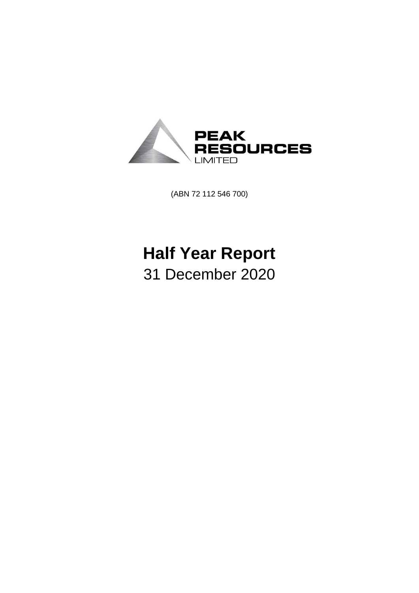

(ABN 72 112 546 700)

# **Half Year Report** 31 December 2020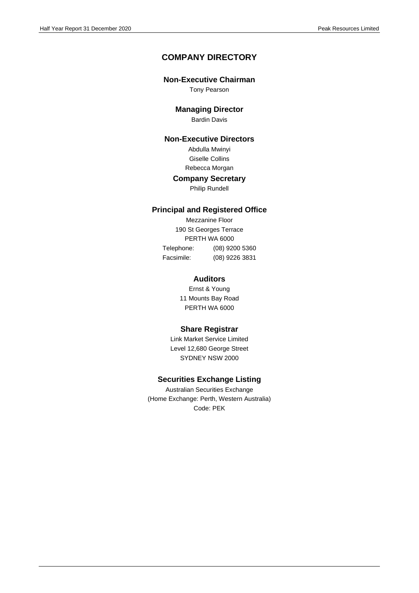## **COMPANY DIRECTORY**

#### **Non-Executive Chairman**

Tony Pearson

#### **Managing Director**

Bardin Davis

## **Non-Executive Directors**

Abdulla Mwinyi Giselle Collins Rebecca Morgan

#### **Company Secretary**

Philip Rundell

#### **Principal and Registered Office**

Mezzanine Floor 190 St Georges Terrace PERTH WA 6000 Telephone: (08) 9200 5360 Facsimile: (08) 9226 3831

#### **Auditors**

Ernst & Young 11 Mounts Bay Road PERTH WA 6000

#### **Share Registrar**

Link Market Service Limited Level 12,680 George Street SYDNEY NSW 2000

#### **Securities Exchange Listing**

Australian Securities Exchange (Home Exchange: Perth, Western Australia) Code: PEK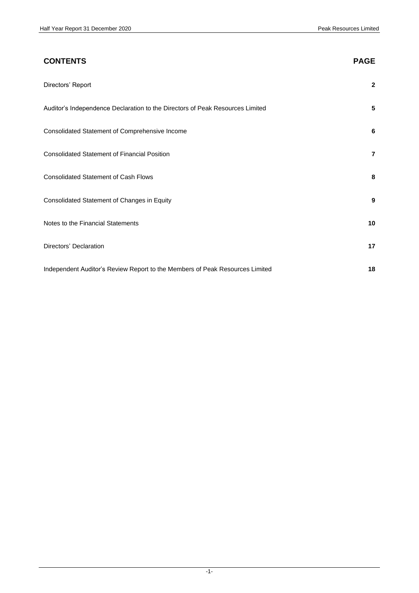# **CONTENTS PAGE** Directors' Report **2** Auditor's Independence Declaration to the Directors of Peak Resources Limited **5** Consolidated Statement of Comprehensive Income **6** Consolidated Statement of Financial Position **7** Consolidated Statement of Cash Flows **8** Consolidated Statement of Changes in Equity **9** Notes to the Financial Statements **10** Directors' Declaration **17** Independent Auditor's Review Report to the Members of Peak Resources Limited **18**

#### -1-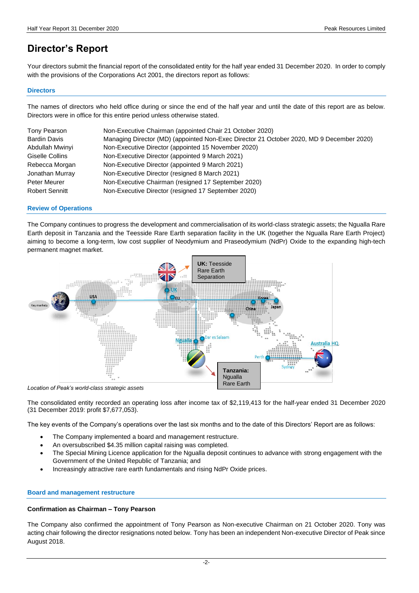## **Director's Report**

Your directors submit the financial report of the consolidated entity for the half year ended 31 December 2020. In order to comply with the provisions of the Corporations Act 2001, the directors report as follows:

#### **Directors**

The names of directors who held office during or since the end of the half year and until the date of this report are as below. Directors were in office for this entire period unless otherwise stated.

| Tony Pearson          | Non-Executive Chairman (appointed Chair 21 October 2020)                                 |
|-----------------------|------------------------------------------------------------------------------------------|
| <b>Bardin Davis</b>   | Managing Director (MD) (appointed Non-Exec Director 21 October 2020, MD 9 December 2020) |
| Abdullah Mwinyi       | Non-Executive Director (appointed 15 November 2020)                                      |
| Giselle Collins       | Non-Executive Director (appointed 9 March 2021)                                          |
| Rebecca Morgan        | Non-Executive Director (appointed 9 March 2021)                                          |
| Jonathan Murray       | Non-Executive Director (resigned 8 March 2021)                                           |
| <b>Peter Meurer</b>   | Non-Executive Chairman (resigned 17 September 2020)                                      |
| <b>Robert Sennitt</b> | Non-Executive Director (resigned 17 September 2020)                                      |

#### **Review of Operations**

The Company continues to progress the development and commercialisation of its world-class strategic assets; the Ngualla Rare Earth deposit in Tanzania and the Teesside Rare Earth separation facility in the UK (together the Ngualla Rare Earth Project) aiming to become a long-term, low cost supplier of Neodymium and Praseodymium (NdPr) Oxide to the expanding high-tech permanent magnet market.



The consolidated entity recorded an operating loss after income tax of \$2,119,413 for the half-year ended 31 December 2020 (31 December 2019: profit \$7,677,053).

The key events of the Company's operations over the last six months and to the date of this Directors' Report are as follows:

- The Company implemented a board and management restructure.
- An oversubscribed \$4.35 million capital raising was completed.
- The Special Mining Licence application for the Ngualla deposit continues to advance with strong engagement with the Government of the United Republic of Tanzania; and
- Increasingly attractive rare earth fundamentals and rising NdPr Oxide prices.

#### **Board and management restructure**

#### **Confirmation as Chairman – Tony Pearson**

The Company also confirmed the appointment of Tony Pearson as Non-executive Chairman on 21 October 2020. Tony was acting chair following the director resignations noted below. Tony has been an independent Non-executive Director of Peak since August 2018.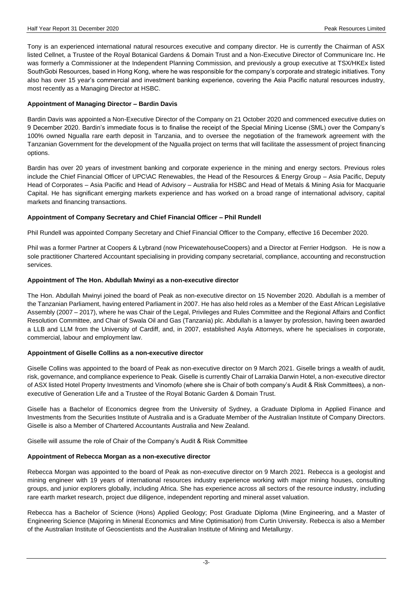Tony is an experienced international natural resources executive and company director. He is currently the Chairman of ASX listed Cellnet, a Trustee of the Royal Botanical Gardens & Domain Trust and a Non-Executive Director of Communicare Inc. He was formerly a Commissioner at the Independent Planning Commission, and previously a group executive at TSX/HKEx listed SouthGobi Resources, based in Hong Kong, where he was responsible for the company's corporate and strategic initiatives. Tony also has over 15 year's commercial and investment banking experience, covering the Asia Pacific natural resources industry, most recently as a Managing Director at HSBC.

#### **Appointment of Managing Director – Bardin Davis**

Bardin Davis was appointed a Non-Executive Director of the Company on 21 October 2020 and commenced executive duties on 9 December 2020. Bardin's immediate focus is to finalise the receipt of the Special Mining License (SML) over the Company's 100% owned Ngualla rare earth deposit in Tanzania, and to oversee the negotiation of the framework agreement with the Tanzanian Government for the development of the Ngualla project on terms that will facilitate the assessment of project financing options.

Bardin has over 20 years of investment banking and corporate experience in the mining and energy sectors. Previous roles include the Chief Financial Officer of UPC\AC Renewables, the Head of the Resources & Energy Group – Asia Pacific, Deputy Head of Corporates – Asia Pacific and Head of Advisory – Australia for HSBC and Head of Metals & Mining Asia for Macquarie Capital. He has significant emerging markets experience and has worked on a broad range of international advisory, capital markets and financing transactions.

#### **Appointment of Company Secretary and Chief Financial Officer – Phil Rundell**

Phil Rundell was appointed Company Secretary and Chief Financial Officer to the Company, effective 16 December 2020.

Phil was a former Partner at Coopers & Lybrand (now PricewatehouseCoopers) and a Director at Ferrier Hodgson. He is now a sole practitioner Chartered Accountant specialising in providing company secretarial, compliance, accounting and reconstruction services.

#### **Appointment of The Hon. Abdullah Mwinyi as a non-executive director**

The Hon. Abdullah Mwinyi joined the board of Peak as non-executive director on 15 November 2020. Abdullah is a member of the Tanzanian Parliament, having entered Parliament in 2007. He has also held roles as a Member of the East African Legislative Assembly (2007 – 2017), where he was Chair of the Legal, Privileges and Rules Committee and the Regional Affairs and Conflict Resolution Committee, and Chair of Swala Oil and Gas (Tanzania) plc. Abdullah is a lawyer by profession, having been awarded a LLB and LLM from the University of Cardiff, and, in 2007, established Asyla Attorneys, where he specialises in corporate, commercial, labour and employment law.

#### **Appointment of Giselle Collins as a non-executive director**

Giselle Collins was appointed to the board of Peak as non-executive director on 9 March 2021. Giselle brings a wealth of audit, risk, governance, and compliance experience to Peak. Giselle is currently Chair of Larrakia Darwin Hotel, a non-executive director of ASX listed Hotel Property Investments and Vinomofo (where she is Chair of both company's Audit & Risk Committees), a nonexecutive of Generation Life and a Trustee of the Royal Botanic Garden & Domain Trust.

Giselle has a Bachelor of Economics degree from the University of Sydney, a Graduate Diploma in Applied Finance and Investments from the Securities Institute of Australia and is a Graduate Member of the Australian Institute of Company Directors. Giselle is also a Member of Chartered Accountants Australia and New Zealand.

Giselle will assume the role of Chair of the Company's Audit & Risk Committee

#### **Appointment of Rebecca Morgan as a non-executive director**

Rebecca Morgan was appointed to the board of Peak as non-executive director on 9 March 2021. Rebecca is a geologist and mining engineer with 19 years of international resources industry experience working with major mining houses, consulting groups, and junior explorers globally, including Africa. She has experience across all sectors of the resource industry, including rare earth market research, project due diligence, independent reporting and mineral asset valuation.

Rebecca has a Bachelor of Science (Hons) Applied Geology; Post Graduate Diploma (Mine Engineering, and a Master of Engineering Science (Majoring in Mineral Economics and Mine Optimisation) from Curtin University. Rebecca is also a Member of the Australian Institute of Geoscientists and the Australian Institute of Mining and Metallurgy.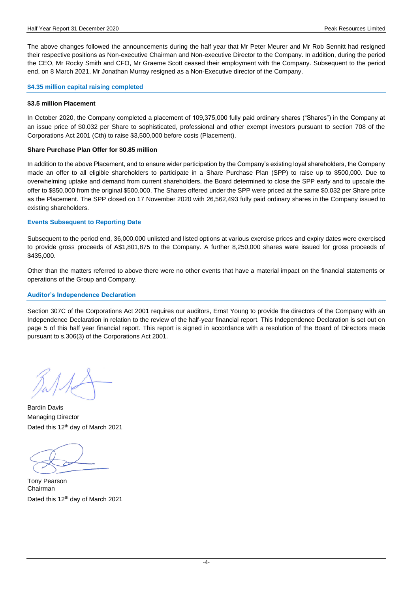The above changes followed the announcements during the half year that Mr Peter Meurer and Mr Rob Sennitt had resigned their respective positions as Non-executive Chairman and Non-executive Director to the Company. In addition, during the period the CEO, Mr Rocky Smith and CFO, Mr Graeme Scott ceased their employment with the Company. Subsequent to the period end, on 8 March 2021, Mr Jonathan Murray resigned as a Non-Executive director of the Company.

#### **\$4.35 million capital raising completed**

#### **\$3.5 million Placement**

In October 2020, the Company completed a placement of 109,375,000 fully paid ordinary shares ("Shares") in the Company at an issue price of \$0.032 per Share to sophisticated, professional and other exempt investors pursuant to section 708 of the Corporations Act 2001 (Cth) to raise \$3,500,000 before costs (Placement).

#### **Share Purchase Plan Offer for \$0.85 million**

In addition to the above Placement, and to ensure wider participation by the Company's existing loyal shareholders, the Company made an offer to all eligible shareholders to participate in a Share Purchase Plan (SPP) to raise up to \$500,000. Due to overwhelming uptake and demand from current shareholders, the Board determined to close the SPP early and to upscale the offer to \$850,000 from the original \$500,000. The Shares offered under the SPP were priced at the same \$0.032 per Share price as the Placement. The SPP closed on 17 November 2020 with 26,562,493 fully paid ordinary shares in the Company issued to existing shareholders.

#### **Events Subsequent to Reporting Date**

Subsequent to the period end, 36,000,000 unlisted and listed options at various exercise prices and expiry dates were exercised to provide gross proceeds of A\$1,801,875 to the Company. A further 8,250,000 shares were issued for gross proceeds of \$435,000.

Other than the matters referred to above there were no other events that have a material impact on the financial statements or operations of the Group and Company.

#### **Auditor's Independence Declaration**

Section 307C of the Corporations Act 2001 requires our auditors, Ernst Young to provide the directors of the Company with an Independence Declaration in relation to the review of the half-year financial report. This Independence Declaration is set out on page 5 of this half year financial report. This report is signed in accordance with a resolution of the Board of Directors made pursuant to s.306(3) of the Corporations Act 2001.

Bardin Davis Managing Director Dated this 12<sup>th</sup> day of March 2021

Tony Pearson Chairman Dated this 12<sup>th</sup> day of March 2021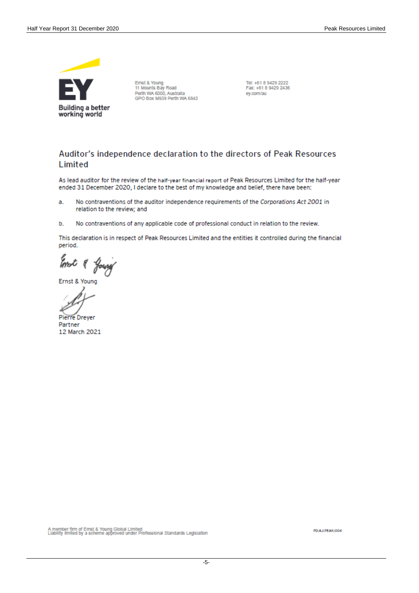

Ernst & Young Ernst & Toung<br>11 Mounts Bay Road<br>Perth WA 6000, Australia<br>GPO Box M939 Perth WA 6843

Tel: +61 8 9429 2222 Fax: +61 8 9429 2436 ey.com/au

## Auditor's independence declaration to the directors of Peak Resources Limited

As lead auditor for the review of the half-year financial report of Peak Resources Limited for the half-year ended 31 December 2020, I declare to the best of my knowledge and belief, there have been:

- No contraventions of the auditor independence requirements of the Corporations Act 2001 in a. relation to the review; and
- No contraventions of any applicable code of professional conduct in relation to the review. b.

This declaration is in respect of Peak Resources Limited and the entities it controlled during the financial period.

Ernst & Young

Ernst & Young

**Pierre Dreyer** Partner 12 March 2021

A member firm of Ernst & Young Global Limited<br>Liability limited by a scheme approved under Professional Standards Legislation

PO:AJ:PEAK:004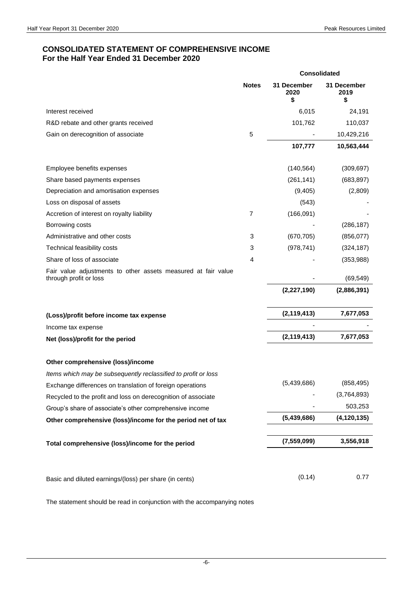### **CONSOLIDATED STATEMENT OF COMPREHENSIVE INCOME For the Half Year Ended 31 December 2020**

|                                                                                         | <b>Consolidated</b> |                           |                           |
|-----------------------------------------------------------------------------------------|---------------------|---------------------------|---------------------------|
|                                                                                         | <b>Notes</b>        | 31 December<br>2020<br>\$ | 31 December<br>2019<br>\$ |
| Interest received                                                                       |                     | 6,015                     | 24,191                    |
| R&D rebate and other grants received                                                    |                     | 101,762                   | 110,037                   |
| Gain on derecognition of associate                                                      | 5                   |                           | 10,429,216                |
|                                                                                         |                     | 107,777                   | 10,563,444                |
| Employee benefits expenses                                                              |                     | (140, 564)                | (309, 697)                |
| Share based payments expenses                                                           |                     | (261, 141)                | (683, 897)                |
| Depreciation and amortisation expenses                                                  |                     | (9,405)                   | (2,809)                   |
| Loss on disposal of assets                                                              |                     | (543)                     |                           |
| Accretion of interest on royalty liability                                              | 7                   | (166, 091)                |                           |
| Borrowing costs                                                                         |                     |                           | (286, 187)                |
| Administrative and other costs                                                          | 3                   | (670, 705)                | (856, 077)                |
| Technical feasibility costs                                                             | 3                   | (978, 741)                | (324, 187)                |
| Share of loss of associate                                                              | 4                   |                           | (353,988)                 |
| Fair value adjustments to other assets measured at fair value<br>through profit or loss |                     |                           | (69, 549)                 |
|                                                                                         |                     | (2,227,190)               | (2,886,391)               |
| (Loss)/profit before income tax expense                                                 |                     | (2, 119, 413)             | 7,677,053                 |
| Income tax expense                                                                      |                     |                           |                           |
| Net (loss)/profit for the period                                                        |                     | (2, 119, 413)             | 7,677,053                 |
| Other comprehensive (loss)/income                                                       |                     |                           |                           |
| Items which may be subsequently reclassified to profit or loss                          |                     |                           |                           |
| Exchange differences on translation of foreign operations                               |                     | (5,439,686)               | (858, 495)                |
| Recycled to the profit and loss on derecognition of associate                           |                     |                           | (3,764,893)               |
| Group's share of associate's other comprehensive income                                 |                     |                           | 503,253                   |
| Other comprehensive (loss)/income for the period net of tax                             |                     | (5,439,686)               | (4, 120, 135)             |
| Total comprehensive (loss)/income for the period                                        |                     | (7, 559, 099)             | 3,556,918                 |
| Basic and diluted earnings/(loss) per share (in cents)                                  |                     | (0.14)                    | 0.77                      |

The statement should be read in conjunction with the accompanying notes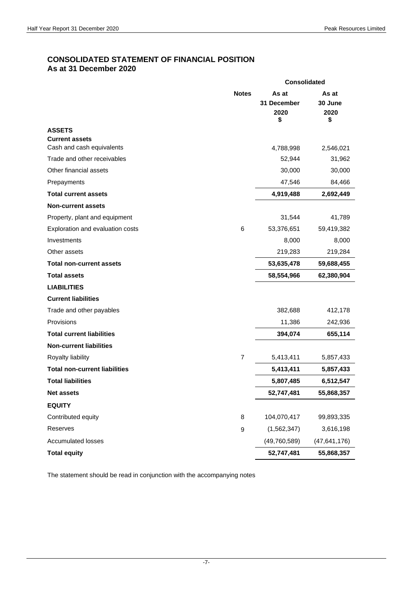## **CONSOLIDATED STATEMENT OF FINANCIAL POSITION As at 31 December 2020**

|                                                    |                  | <b>Consolidated</b>                |                                |  |
|----------------------------------------------------|------------------|------------------------------------|--------------------------------|--|
|                                                    | <b>Notes</b>     | As at<br>31 December<br>2020<br>\$ | As at<br>30 June<br>2020<br>\$ |  |
| <b>ASSETS</b>                                      |                  |                                    |                                |  |
| <b>Current assets</b><br>Cash and cash equivalents |                  |                                    |                                |  |
| Trade and other receivables                        |                  | 4,788,998<br>52,944                | 2,546,021<br>31,962            |  |
| Other financial assets                             |                  | 30,000                             | 30,000                         |  |
| Prepayments                                        |                  | 47,546                             | 84,466                         |  |
| <b>Total current assets</b>                        |                  | 4,919,488                          | 2,692,449                      |  |
| <b>Non-current assets</b>                          |                  |                                    |                                |  |
| Property, plant and equipment                      |                  | 31,544                             | 41,789                         |  |
| Exploration and evaluation costs                   | 6                | 53,376,651                         | 59,419,382                     |  |
| Investments                                        |                  | 8,000                              | 8,000                          |  |
| Other assets                                       |                  | 219,283                            | 219,284                        |  |
| <b>Total non-current assets</b>                    |                  | 53,635,478                         | 59,688,455                     |  |
| <b>Total assets</b>                                |                  | 58,554,966                         | 62,380,904                     |  |
| <b>LIABILITIES</b>                                 |                  |                                    |                                |  |
| <b>Current liabilities</b>                         |                  |                                    |                                |  |
| Trade and other payables                           |                  | 382,688                            | 412,178                        |  |
| Provisions                                         |                  | 11,386                             | 242,936                        |  |
| <b>Total current liabilities</b>                   |                  | 394,074                            |                                |  |
| <b>Non-current liabilities</b>                     |                  |                                    | 655,114                        |  |
| Royalty liability                                  | $\overline{7}$   | 5,413,411                          |                                |  |
| <b>Total non-current liabilities</b>               |                  |                                    | 5,857,433                      |  |
|                                                    |                  | 5,413,411                          | 5,857,433                      |  |
| <b>Total liabilities</b>                           |                  | 5,807,485                          | 6,512,547                      |  |
| <b>Net assets</b>                                  |                  | 52,747,481                         | 55,868,357                     |  |
| <b>EQUITY</b>                                      |                  |                                    |                                |  |
| Contributed equity                                 | 8                | 104,070,417                        | 99,893,335                     |  |
| Reserves                                           | $\boldsymbol{9}$ | (1,562,347)                        | 3,616,198                      |  |
| <b>Accumulated losses</b>                          |                  | (49,760,589)                       | (47, 641, 176)                 |  |
| <b>Total equity</b>                                |                  | 52,747,481                         | 55,868,357                     |  |

The statement should be read in conjunction with the accompanying notes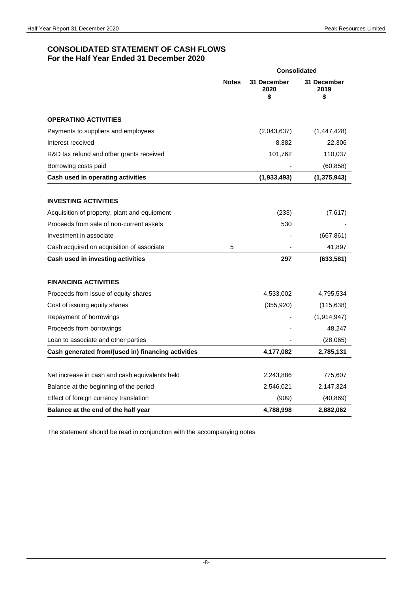## **CONSOLIDATED STATEMENT OF CASH FLOWS For the Half Year Ended 31 December 2020**

|                                                    |              | <b>Consolidated</b>       |                           |
|----------------------------------------------------|--------------|---------------------------|---------------------------|
|                                                    | <b>Notes</b> | 31 December<br>2020<br>\$ | 31 December<br>2019<br>\$ |
| <b>OPERATING ACTIVITIES</b>                        |              |                           |                           |
| Payments to suppliers and employees                |              | (2,043,637)               | (1,447,428)               |
| Interest received                                  |              | 8,382                     | 22,306                    |
| R&D tax refund and other grants received           |              | 101,762                   | 110,037                   |
| Borrowing costs paid                               |              |                           | (60, 858)                 |
| Cash used in operating activities                  |              | (1,933,493)               | (1, 375, 943)             |
| <b>INVESTING ACTIVITIES</b>                        |              |                           |                           |
| Acquisition of property, plant and equipment       |              | (233)                     | (7,617)                   |
| Proceeds from sale of non-current assets           |              | 530                       |                           |
| Investment in associate                            |              |                           | (667, 861)                |
| Cash acquired on acquisition of associate          | 5            |                           | 41,897                    |
| Cash used in investing activities                  |              | 297                       | (633, 581)                |
| <b>FINANCING ACTIVITIES</b>                        |              |                           |                           |
| Proceeds from issue of equity shares               |              | 4,533,002                 | 4,795,534                 |
| Cost of issuing equity shares                      |              | (355, 920)                | (115, 638)                |
| Repayment of borrowings                            |              |                           | (1, 914, 947)             |
| Proceeds from borrowings                           |              |                           | 48,247                    |
| Loan to associate and other parties                |              |                           | (28,065)                  |
| Cash generated from/(used in) financing activities |              | 4,177,082                 | 2,785,131                 |
|                                                    |              |                           |                           |
| Net increase in cash and cash equivalents held     |              | 2,243,886                 | 775,607                   |
| Balance at the beginning of the period             |              | 2,546,021                 | 2,147,324                 |
| Effect of foreign currency translation             |              | (909)                     | (40, 869)                 |
| Balance at the end of the half year                |              | 4,788,998                 | 2,882,062                 |

The statement should be read in conjunction with the accompanying notes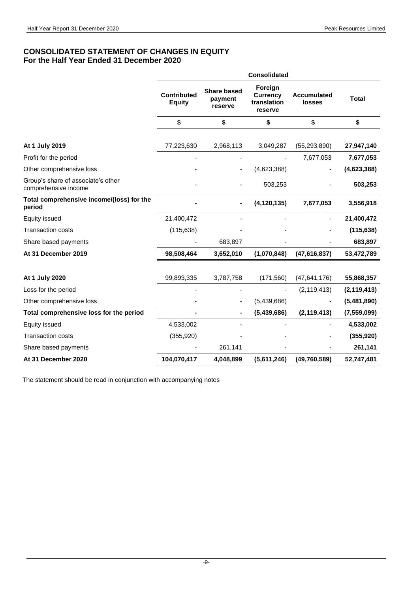## **CONSOLIDATED STATEMENT OF CHANGES IN EQUITY For the Half Year Ended 31 December 2020**

|                                                            | <b>Consolidated</b>                 |                                          |                                                      |                              |               |  |
|------------------------------------------------------------|-------------------------------------|------------------------------------------|------------------------------------------------------|------------------------------|---------------|--|
|                                                            | <b>Contributed</b><br><b>Equity</b> | <b>Share based</b><br>payment<br>reserve | Foreign<br><b>Currency</b><br>translation<br>reserve | <b>Accumulated</b><br>losses | <b>Total</b>  |  |
|                                                            | \$                                  | \$                                       | \$                                                   | \$                           | \$            |  |
| At 1 July 2019                                             | 77,223,630                          | 2,968,113                                | 3,049,287                                            | (55, 293, 890)               | 27,947,140    |  |
| Profit for the period                                      |                                     |                                          |                                                      | 7,677,053                    | 7,677,053     |  |
| Other comprehensive loss                                   |                                     |                                          | (4,623,388)                                          |                              | (4,623,388)   |  |
| Group's share of associate's other<br>comprehensive income |                                     |                                          | 503,253                                              |                              | 503,253       |  |
| Total comprehensive income/(loss) for the<br>period        |                                     |                                          | (4, 120, 135)                                        | 7,677,053                    | 3,556,918     |  |
| Equity issued                                              | 21,400,472                          |                                          |                                                      |                              | 21,400,472    |  |
| <b>Transaction costs</b>                                   | (115, 638)                          |                                          |                                                      |                              | (115, 638)    |  |
| Share based payments                                       |                                     | 683,897                                  |                                                      |                              | 683,897       |  |
| At 31 December 2019                                        | 98,508,464                          | 3,652,010                                | (1,070,848)                                          | (47,616,837)                 | 53,472,789    |  |
| At 1 July 2020                                             | 99,893,335                          | 3,787,758                                | (171, 560)                                           | (47, 641, 176)               | 55,868,357    |  |
| Loss for the period                                        |                                     |                                          |                                                      | (2, 119, 413)                | (2, 119, 413) |  |
| Other comprehensive loss                                   |                                     |                                          | (5,439,686)                                          |                              | (5,481,890)   |  |
| Total comprehensive loss for the period                    |                                     |                                          | (5,439,686)                                          | (2, 119, 413)                | (7, 559, 099) |  |
| Equity issued                                              | 4,533,002                           |                                          |                                                      |                              | 4,533,002     |  |
| <b>Transaction costs</b>                                   | (355, 920)                          |                                          |                                                      |                              | (355, 920)    |  |
| Share based payments                                       |                                     | 261,141                                  |                                                      |                              | 261,141       |  |
| At 31 December 2020                                        | 104,070,417                         | 4,048,899                                | (5,611,246)                                          | (49,760,589)                 | 52,747,481    |  |
|                                                            |                                     |                                          |                                                      |                              |               |  |

The statement should be read in conjunction with accompanying notes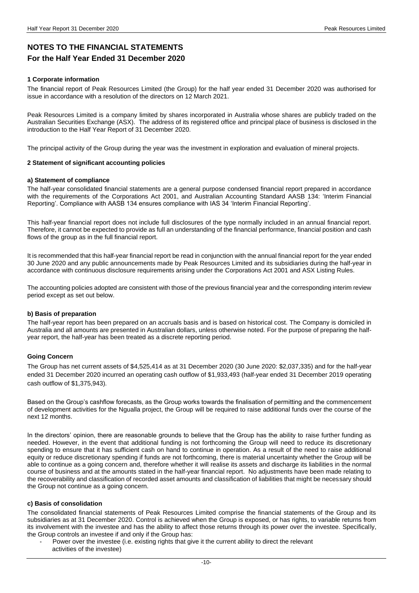## **NOTES TO THE FINANCIAL STATEMENTS For the Half Year Ended 31 December 2020**

#### **1 Corporate information**

The financial report of Peak Resources Limited (the Group) for the half year ended 31 December 2020 was authorised for issue in accordance with a resolution of the directors on 12 March 2021.

Peak Resources Limited is a company limited by shares incorporated in Australia whose shares are publicly traded on the Australian Securities Exchange (ASX). The address of its registered office and principal place of business is disclosed in the introduction to the Half Year Report of 31 December 2020.

The principal activity of the Group during the year was the investment in exploration and evaluation of mineral projects.

#### **2 Statement of significant accounting policies**

#### **a) Statement of compliance**

The half-year consolidated financial statements are a general purpose condensed financial report prepared in accordance with the requirements of the Corporations Act 2001, and Australian Accounting Standard AASB 134: 'Interim Financial Reporting'. Compliance with AASB 134 ensures compliance with IAS 34 'Interim Financial Reporting'.

This half-year financial report does not include full disclosures of the type normally included in an annual financial report. Therefore, it cannot be expected to provide as full an understanding of the financial performance, financial position and cash flows of the group as in the full financial report.

It is recommended that this half-year financial report be read in conjunction with the annual financial report for the year ended 30 June 2020 and any public announcements made by Peak Resources Limited and its subsidiaries during the half-year in accordance with continuous disclosure requirements arising under the Corporations Act 2001 and ASX Listing Rules.

The accounting policies adopted are consistent with those of the previous financial year and the corresponding interim review period except as set out below.

#### **b) Basis of preparation**

The half-year report has been prepared on an accruals basis and is based on historical cost. The Company is domiciled in Australia and all amounts are presented in Australian dollars, unless otherwise noted. For the purpose of preparing the halfyear report, the half-year has been treated as a discrete reporting period.

#### **Going Concern**

The Group has net current assets of \$4,525,414 as at 31 December 2020 (30 June 2020: \$2,037,335) and for the half-year ended 31 December 2020 incurred an operating cash outflow of \$1,933,493 (half-year ended 31 December 2019 operating cash outflow of \$1,375,943).

Based on the Group's cashflow forecasts, as the Group works towards the finalisation of permitting and the commencement of development activities for the Ngualla project, the Group will be required to raise additional funds over the course of the next 12 months.

In the directors' opinion, there are reasonable grounds to believe that the Group has the ability to raise further funding as needed. However, in the event that additional funding is not forthcoming the Group will need to reduce its discretionary spending to ensure that it has sufficient cash on hand to continue in operation. As a result of the need to raise additional equity or reduce discretionary spending if funds are not forthcoming, there is material uncertainty whether the Group will be able to continue as a going concern and, therefore whether it will realise its assets and discharge its liabilities in the normal course of business and at the amounts stated in the half-year financial report. No adjustments have been made relating to the recoverability and classification of recorded asset amounts and classification of liabilities that might be necessary should the Group not continue as a going concern.

#### **c) Basis of consolidation**

The consolidated financial statements of Peak Resources Limited comprise the financial statements of the Group and its subsidiaries as at 31 December 2020. Control is achieved when the Group is exposed, or has rights, to variable returns from its involvement with the investee and has the ability to affect those returns through its power over the investee. Specifically, the Group controls an investee if and only if the Group has:

Power over the investee (i.e. existing rights that give it the current ability to direct the relevant activities of the investee)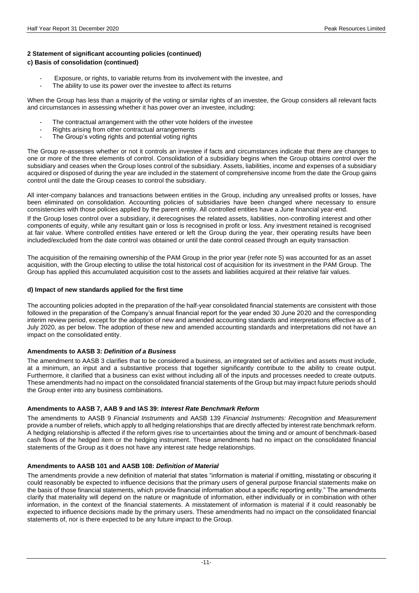#### **2 Statement of significant accounting policies (continued) c) Basis of consolidation (continued)**

- Exposure, or rights, to variable returns from its involvement with the investee, and
- The ability to use its power over the investee to affect its returns

When the Group has less than a majority of the voting or similar rights of an investee, the Group considers all relevant facts and circumstances in assessing whether it has power over an investee, including:

- The contractual arrangement with the other vote holders of the investee
- Rights arising from other contractual arrangements
- The Group's voting rights and potential voting rights

The Group re-assesses whether or not it controls an investee if facts and circumstances indicate that there are changes to one or more of the three elements of control. Consolidation of a subsidiary begins when the Group obtains control over the subsidiary and ceases when the Group loses control of the subsidiary. Assets, liabilities, income and expenses of a subsidiary acquired or disposed of during the year are included in the statement of comprehensive income from the date the Group gains control until the date the Group ceases to control the subsidiary.

All inter-company balances and transactions between entities in the Group, including any unrealised profits or losses, have been eliminated on consolidation. Accounting policies of subsidiaries have been changed where necessary to ensure consistencies with those policies applied by the parent entity. All controlled entities have a June financial year-end.

If the Group loses control over a subsidiary, it derecognises the related assets, liabilities, non-controlling interest and other components of equity, while any resultant gain or loss is recognised in profit or loss. Any investment retained is recognised at fair value. Where controlled entities have entered or left the Group during the year, their operating results have been included/excluded from the date control was obtained or until the date control ceased through an equity transaction.

The acquisition of the remaining ownership of the PAM Group in the prior year (refer note 5) was accounted for as an asset acquisition, with the Group electing to utilise the total historical cost of acquisition for its investment in the PAM Group. The Group has applied this accumulated acquisition cost to the assets and liabilities acquired at their relative fair values.

#### **d) Impact of new standards applied for the first time**

The accounting policies adopted in the preparation of the half-year consolidated financial statements are consistent with those followed in the preparation of the Company's annual financial report for the year ended 30 June 2020 and the corresponding interim review period, except for the adoption of new and amended accounting standards and interpretations effective as of 1 July 2020, as per below. The adoption of these new and amended accounting standards and interpretations did not have an impact on the consolidated entity.

#### **Amendments to AASB 3:** *Definition of a Business*

The amendment to AASB 3 clarifies that to be considered a business, an integrated set of activities and assets must include, at a minimum, an input and a substantive process that together significantly contribute to the ability to create output. Furthermore, it clarified that a business can exist without including all of the inputs and processes needed to create outputs. These amendments had no impact on the consolidated financial statements of the Group but may impact future periods should the Group enter into any business combinations.

#### **Amendments to AASB 7, AAB 9 and IAS 39:** *Interest Rate Benchmark Reform*

The amendments to AASB 9 *Financial Instruments* and AASB 139 *Financial Instruments: Recognition and Measurement* provide a number of reliefs, which apply to all hedging relationships that are directly affected by interest rate benchmark reform. A hedging relationship is affected if the reform gives rise to uncertainties about the timing and or amount of benchmark-based cash flows of the hedged item or the hedging instrument. These amendments had no impact on the consolidated financial statements of the Group as it does not have any interest rate hedge relationships.

#### **Amendments to AASB 101 and AASB 108:** *Definition of Material*

The amendments provide a new definition of material that states "information is material if omitting, misstating or obscuring it could reasonably be expected to influence decisions that the primary users of general purpose financial statements make on the basis of those financial statements, which provide financial information about a specific reporting entity." The amendments clarify that materiality will depend on the nature or magnitude of information, either individually or in combination with other information, in the context of the financial statements. A misstatement of information is material if it could reasonably be expected to influence decisions made by the primary users. These amendments had no impact on the consolidated financial statements of, nor is there expected to be any future impact to the Group.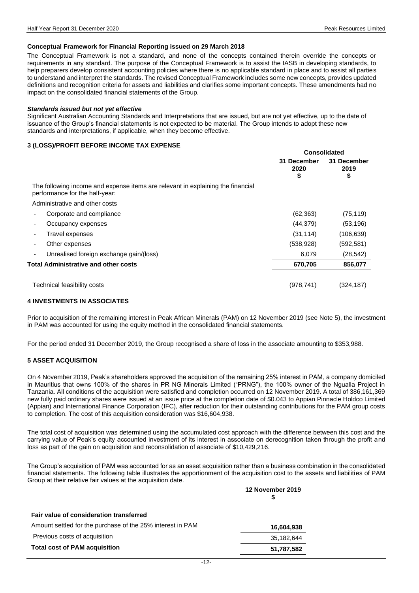#### **Conceptual Framework for Financial Reporting issued on 29 March 2018**

The Conceptual Framework is not a standard, and none of the concepts contained therein override the concepts or requirements in any standard. The purpose of the Conceptual Framework is to assist the IASB in developing standards, to help preparers develop consistent accounting policies where there is no applicable standard in place and to assist all parties to understand and interpret the standards. The revised Conceptual Framework includes some new concepts, provides updated definitions and recognition criteria for assets and liabilities and clarifies some important concepts. These amendments had no impact on the consolidated financial statements of the Group.

#### *Standards issued but not yet effective*

Significant Australian Accounting Standards and Interpretations that are issued, but are not yet effective, up to the date of issuance of the Group's financial statements is not expected to be material. The Group intends to adopt these new standards and interpretations, if applicable, when they become effective.

#### **3 (LOSS)/PROFIT BEFORE INCOME TAX EXPENSE**

|                                                                                                                   | <b>Consolidated</b>       |                           |
|-------------------------------------------------------------------------------------------------------------------|---------------------------|---------------------------|
|                                                                                                                   | 31 December<br>2020<br>\$ | 31 December<br>2019<br>\$ |
| The following income and expense items are relevant in explaining the financial<br>performance for the half-year: |                           |                           |
| Administrative and other costs                                                                                    |                           |                           |
| Corporate and compliance                                                                                          | (62, 363)                 | (75, 119)                 |
| Occupancy expenses                                                                                                | (44, 379)                 | (53, 196)                 |
| Travel expenses<br>٠                                                                                              | (31, 114)                 | (106, 639)                |
| Other expenses                                                                                                    | (538, 928)                | (592, 581)                |
| Unrealised foreign exchange gain/(loss)<br>٠                                                                      | 6,079                     | (28, 542)                 |
| <b>Total Administrative and other costs</b>                                                                       | 670,705                   | 856,077                   |
| Technical feasibility costs                                                                                       | (978, 741)                | (324, 187)                |

#### **4 INVESTMENTS IN ASSOCIATES**

Prior to acquisition of the remaining interest in Peak African Minerals (PAM) on 12 November 2019 (see Note 5), the investment in PAM was accounted for using the equity method in the consolidated financial statements.

For the period ended 31 December 2019, the Group recognised a share of loss in the associate amounting to \$353,988.

#### **5 ASSET ACQUISITION**

On 4 November 2019, Peak's shareholders approved the acquisition of the remaining 25% interest in PAM, a company domiciled in Mauritius that owns 100% of the shares in PR NG Minerals Limited ("PRNG"), the 100% owner of the Ngualla Project in Tanzania. All conditions of the acquisition were satisfied and completion occurred on 12 November 2019. A total of 386,161,369 new fully paid ordinary shares were issued at an issue price at the completion date of \$0.043 to Appian Pinnacle Holdco Limited (Appian) and International Finance Corporation (IFC), after reduction for their outstanding contributions for the PAM group costs to completion. The cost of this acquisition consideration was \$16,604,938.

The total cost of acquisition was determined using the accumulated cost approach with the difference between this cost and the carrying value of Peak's equity accounted investment of its interest in associate on derecognition taken through the profit and loss as part of the gain on acquisition and reconsolidation of associate of \$10,429,216.

The Group's acquisition of PAM was accounted for as an asset acquisition rather than a business combination in the consolidated financial statements. The following table illustrates the apportionment of the acquisition cost to the assets and liabilities of PAM Group at their relative fair values at the acquisition date.

| 12 November 2019 |
|------------------|
|                  |
| 16,604,938       |
| 35,182,644       |
| 51,787,582       |
|                  |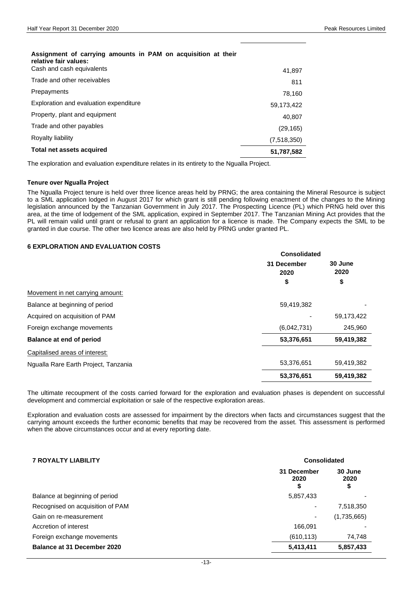## **Assignment of carrying amounts in PAM on acquisition at their relative fair values:** Cash and cash equivalents 41,897 Trade and other receivables 811 Prepayments 78,160 Exploration and evaluation expenditure 59,173,422 Property, plant and equipment 40,807 Trade and other payables (29,165) Royalty liability (7,518,350)

### **Total net assets acquired 51,787,582**

The exploration and evaluation expenditure relates in its entirety to the Ngualla Project.

#### **Tenure over Ngualla Project**

The Ngualla Project tenure is held over three licence areas held by PRNG; the area containing the Mineral Resource is subject to a SML application lodged in August 2017 for which grant is still pending following enactment of the changes to the Mining legislation announced by the Tanzanian Government in July 2017. The Prospecting Licence (PL) which PRNG held over this area, at the time of lodgement of the SML application, expired in September 2017. The Tanzanian Mining Act provides that the PL will remain valid until grant or refusal to grant an application for a licence is made. The Company expects the SML to be granted in due course. The other two licence areas are also held by PRNG under granted PL.

#### **6 EXPLORATION AND EVALUATION COSTS**

|                                      | Consolidated        |                 |  |
|--------------------------------------|---------------------|-----------------|--|
|                                      | 31 December<br>2020 | 30 June<br>2020 |  |
|                                      | \$                  | \$              |  |
| Movement in net carrying amount:     |                     |                 |  |
| Balance at beginning of period       | 59,419,382          |                 |  |
| Acquired on acquisition of PAM       |                     | 59,173,422      |  |
| Foreign exchange movements           | (6,042,731)         | 245,960         |  |
| Balance at end of period             | 53,376,651          | 59,419,382      |  |
| Capitalised areas of interest:       |                     |                 |  |
| Ngualla Rare Earth Project, Tanzania | 53,376,651          | 59,419,382      |  |
|                                      | 53,376,651          | 59,419,382      |  |

The ultimate recoupment of the costs carried forward for the exploration and evaluation phases is dependent on successful development and commercial exploitation or sale of the respective exploration areas.

Exploration and evaluation costs are assessed for impairment by the directors when facts and circumstances suggest that the carrying amount exceeds the further economic benefits that may be recovered from the asset. This assessment is performed when the above circumstances occur and at every reporting date.

| <b>7 ROYALTY LIABILITY</b>       | Consolidated              |                       |  |
|----------------------------------|---------------------------|-----------------------|--|
|                                  | 31 December<br>2020<br>\$ | 30 June<br>2020<br>\$ |  |
| Balance at beginning of period   | 5,857,433                 |                       |  |
| Recognised on acquisition of PAM |                           | 7,518,350             |  |
| Gain on re-measurement           |                           | (1,735,665)           |  |
| Accretion of interest            | 166.091                   |                       |  |
| Foreign exchange movements       | (610, 113)                | 74,748                |  |
| Balance at 31 December 2020      | 5,413,411                 | 5,857,433             |  |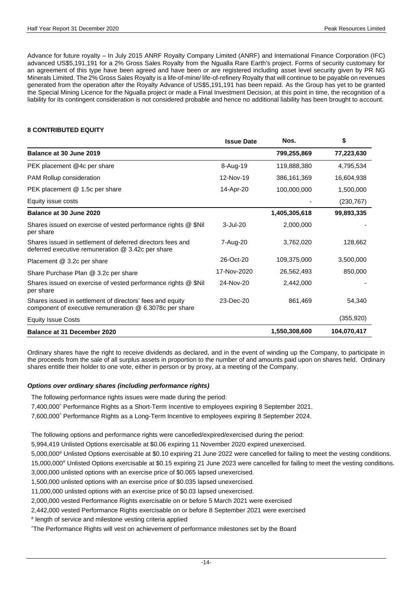Advance for future royalty – In July 2015 ANRF Royalty Company Limited (ANRF) and International Finance Corporation (IFC) advanced US\$5,191,191 for a 2% Gross Sales Royalty from the Ngualla Rare Earth's project. Forms of security customary for an agreement of this type have been agreed and have been or are registered including asset level security given by PR NG Minerals Limited. The 2% Gross Sales Royalty is a life-of-mine/ life-of-refinery Royalty that will continue to be payable on revenues generated from the operation after the Royalty Advance of US\$5,191,191 has been repaid. As the Group has yet to be granted the Special Mining Licence for the Ngualla project or made a Final Investment Decision, at this point in time, the recognition of a liability for its contingent consideration is not considered probable and hence no additional liability has been brought to account.

#### **8 CONTRIBUTED EQUITY**

|                                                                                                                      | <b>Issue Date</b> | Nos.          | \$          |
|----------------------------------------------------------------------------------------------------------------------|-------------------|---------------|-------------|
| Balance at 30 June 2019                                                                                              |                   | 799,255,869   | 77,223,630  |
| PEK placement @4c per share                                                                                          | 8-Aug-19          | 119,888,380   | 4,795,534   |
| <b>PAM Rollup consideration</b>                                                                                      | 12-Nov-19         | 386, 161, 369 | 16,604,938  |
| PEK placement @ 1.5c per share                                                                                       | 14-Apr-20         | 100,000,000   | 1,500,000   |
| Equity issue costs                                                                                                   |                   |               | (230, 767)  |
| Balance at 30 June 2020                                                                                              |                   | 1,405,305,618 | 99,893,335  |
| Shares issued on exercise of vested performance rights @ \$Nil<br>per share                                          | $3 -$ Jul $-20$   | 2,000,000     |             |
| Shares issued in settlement of deferred directors fees and<br>deferred executive remuneration $@$ 3.42c per share    | 7-Aug-20          | 3,762,020     | 128,662     |
| Placement @ 3.2c per share                                                                                           | 26-Oct-20         | 109,375,000   | 3,500,000   |
| Share Purchase Plan @ 3.2c per share                                                                                 | 17-Nov-2020       | 26,562,493    | 850,000     |
| Shares issued on exercise of vested performance rights @ \$Nil<br>per share                                          | 24-Nov-20         | 2,442,000     |             |
| Shares issued in settlement of directors' fees and equity<br>component of executive remuneration @ 6.3078c per share | 23-Dec-20         | 861,469       | 54,340      |
| <b>Equity Issue Costs</b>                                                                                            |                   |               | (355, 920)  |
| Balance at 31 December 2020                                                                                          |                   | 1,550,308,600 | 104,070,417 |

Ordinary shares have the right to receive dividends as declared, and in the event of winding up the Company, to participate in the proceeds from the sale of all surplus assets in proportion to the number of and amounts paid upon on shares held. Ordinary shares entitle their holder to one vote, either in person or by proxy, at a meeting of the Company.

#### *Options over ordinary shares (including performance rights)*

The following performance rights issues were made during the period:

7,400,000^ Performance Rights as a Short-Term Incentive to employees expiring 8 September 2021.

7,600,000^ Performance Rights as a Long-Term Incentive to employees expiring 8 September 2024.

The following options and performance rights were cancelled/expired/exercised during the period:

5,994,419 Unlisted Options exercisable at \$0.06 expiring 11 November 2020 expired unexercised.

5,000,000# Unlisted Options exercisable at \$0.10 expiring 21 June 2022 were cancelled for failing to meet the vesting conditions.

15,000,000# Unlisted Options exercisable at \$0.15 expiring 21 June 2023 were cancelled for failing to meet the vesting conditions.

3,000,000 unlisted options with an exercise price of \$0.065 lapsed unexercised.

1,500,000 unlisted options with an exercise price of \$0.035 lapsed unexercised.

11,000,000 unlisted options with an exercise price of \$0.03 lapsed unexercised.

2,000,000 vested Performance Rights exercisable on or before 5 March 2021 were exercised

2,442,000 vested Performance Rights exercisable on or before 8 September 2021 were exercised

# length of service and milestone vesting criteria applied

^The Performance Rights will vest on achievement of performance milestones set by the Board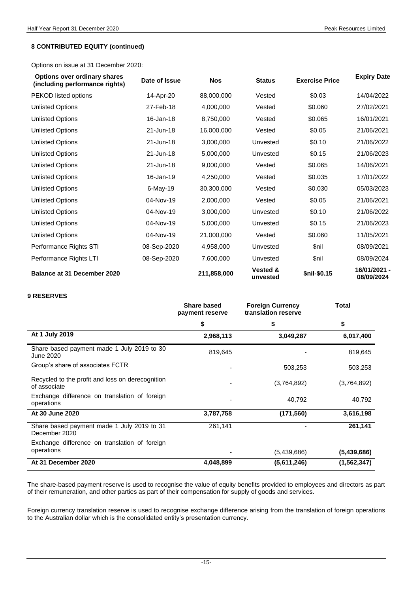#### **8 CONTRIBUTED EQUITY (continued)**

Options on issue at 31 December 2020:

| <b>Options over ordinary shares</b><br>(including performance rights) | Date of Issue | <b>Nos</b>  | <b>Status</b>                   | <b>Exercise Price</b> | <b>Expiry Date</b>         |
|-----------------------------------------------------------------------|---------------|-------------|---------------------------------|-----------------------|----------------------------|
| PEKOD listed options                                                  | 14-Apr-20     | 88,000,000  | Vested                          | \$0.03                | 14/04/2022                 |
| <b>Unlisted Options</b>                                               | 27-Feb-18     | 4,000,000   | Vested                          | \$0.060               | 27/02/2021                 |
| <b>Unlisted Options</b>                                               | 16-Jan-18     | 8,750,000   | Vested                          | \$0.065               | 16/01/2021                 |
| <b>Unlisted Options</b>                                               | 21-Jun-18     | 16,000,000  | Vested                          | \$0.05                | 21/06/2021                 |
| <b>Unlisted Options</b>                                               | 21-Jun-18     | 3,000,000   | Unvested                        | \$0.10                | 21/06/2022                 |
| <b>Unlisted Options</b>                                               | 21-Jun-18     | 5,000,000   | Unvested                        | \$0.15                | 21/06/2023                 |
| <b>Unlisted Options</b>                                               | 21-Jun-18     | 9,000,000   | Vested                          | \$0.065               | 14/06/2021                 |
| <b>Unlisted Options</b>                                               | 16-Jan-19     | 4,250,000   | Vested                          | \$0.035               | 17/01/2022                 |
| <b>Unlisted Options</b>                                               | 6-May-19      | 30,300,000  | Vested                          | \$0.030               | 05/03/2023                 |
| <b>Unlisted Options</b>                                               | 04-Nov-19     | 2,000,000   | Vested                          | \$0.05                | 21/06/2021                 |
| <b>Unlisted Options</b>                                               | 04-Nov-19     | 3,000,000   | Unvested                        | \$0.10                | 21/06/2022                 |
| <b>Unlisted Options</b>                                               | 04-Nov-19     | 5,000,000   | Unvested                        | \$0.15                | 21/06/2023                 |
| <b>Unlisted Options</b>                                               | 04-Nov-19     | 21,000,000  | Vested                          | \$0.060               | 11/05/2021                 |
| Performance Rights STI                                                | 08-Sep-2020   | 4,958,000   | Unvested                        | \$nil                 | 08/09/2021                 |
| Performance Rights LTI                                                | 08-Sep-2020   | 7,600,000   | Unvested                        | \$nil                 | 08/09/2024                 |
| <b>Balance at 31 December 2020</b>                                    |               | 211,858,000 | <b>Vested &amp;</b><br>unvested | \$nil-\$0.15          | 16/01/2021 -<br>08/09/2024 |

#### **9 RESERVES**

|                                                                  | <b>Share based</b><br>payment reserve | <b>Foreign Currency</b><br>translation reserve | <b>Total</b> |
|------------------------------------------------------------------|---------------------------------------|------------------------------------------------|--------------|
|                                                                  | \$                                    | \$                                             | \$           |
| At 1 July 2019                                                   | 2,968,113                             | 3,049,287                                      | 6,017,400    |
| Share based payment made 1 July 2019 to 30<br>June 2020          | 819,645                               |                                                | 819,645      |
| Group's share of associates FCTR                                 |                                       | 503,253                                        | 503,253      |
| Recycled to the profit and loss on derecognition<br>of associate |                                       | (3,764,892)                                    | (3,764,892)  |
| Exchange difference on translation of foreign<br>operations      |                                       | 40,792                                         | 40,792       |
| At 30 June 2020                                                  | 3,787,758                             | (171, 560)                                     | 3,616,198    |
| Share based payment made 1 July 2019 to 31<br>December 2020      | 261,141                               |                                                | 261,141      |
| Exchange difference on translation of foreign                    |                                       |                                                |              |
| operations                                                       |                                       | (5,439,686)                                    | (5,439,686)  |
| At 31 December 2020                                              | 4,048,899                             | (5,611,246)                                    | (1,562,347)  |

The share-based payment reserve is used to recognise the value of equity benefits provided to employees and directors as part of their remuneration, and other parties as part of their compensation for supply of goods and services.

Foreign currency translation reserve is used to recognise exchange difference arising from the translation of foreign operations to the Australian dollar which is the consolidated entity's presentation currency.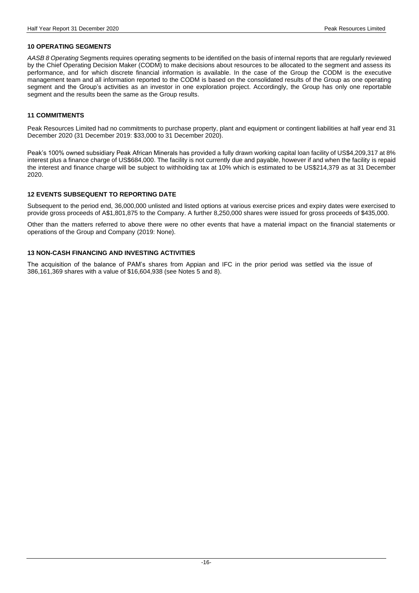#### **10 OPERATING SEGMEN***TS*

*AASB 8 Operating* Segments requires operating segments to be identified on the basis of internal reports that are regularly reviewed by the Chief Operating Decision Maker (CODM) to make decisions about resources to be allocated to the segment and assess its performance, and for which discrete financial information is available. In the case of the Group the CODM is the executive management team and all information reported to the CODM is based on the consolidated results of the Group as one operating segment and the Group's activities as an investor in one exploration project. Accordingly, the Group has only one reportable segment and the results been the same as the Group results.

#### **11 COMMITMENTS**

Peak Resources Limited had no commitments to purchase property, plant and equipment or contingent liabilities at half year end 31 December 2020 (31 December 2019: \$33,000 to 31 December 2020).

Peak's 100% owned subsidiary Peak African Minerals has provided a fully drawn working capital loan facility of US\$4,209,317 at 8% interest plus a finance charge of US\$684,000. The facility is not currently due and payable, however if and when the facility is repaid the interest and finance charge will be subject to withholding tax at 10% which is estimated to be US\$214,379 as at 31 December 2020.

#### **12 EVENTS SUBSEQUENT TO REPORTING DATE**

Subsequent to the period end, 36,000,000 unlisted and listed options at various exercise prices and expiry dates were exercised to provide gross proceeds of A\$1,801,875 to the Company. A further 8,250,000 shares were issued for gross proceeds of \$435,000.

Other than the matters referred to above there were no other events that have a material impact on the financial statements or operations of the Group and Company (2019: None).

#### **13 NON-CASH FINANCING AND INVESTING ACTIVITIES**

The acquisition of the balance of PAM's shares from Appian and IFC in the prior period was settled via the issue of 386,161,369 shares with a value of \$16,604,938 (see Notes 5 and 8).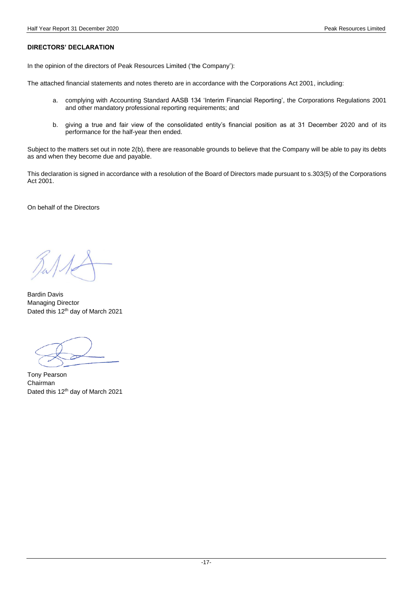#### **DIRECTORS' DECLARATION**

In the opinion of the directors of Peak Resources Limited ('the Company'):

The attached financial statements and notes thereto are in accordance with the Corporations Act 2001, including:

- a. complying with Accounting Standard AASB 134 'Interim Financial Reporting', the Corporations Regulations 2001 and other mandatory professional reporting requirements; and
- b. giving a true and fair view of the consolidated entity's financial position as at 31 December 2020 and of its performance for the half-year then ended.

Subject to the matters set out in note 2(b), there are reasonable grounds to believe that the Company will be able to pay its debts as and when they become due and payable.

This declaration is signed in accordance with a resolution of the Board of Directors made pursuant to s.303(5) of the Corporations Act 2001.

On behalf of the Directors

Bardin Davis Managing Director Dated this 12<sup>th</sup> day of March 2021

Tony Pearson Chairman Dated this 12<sup>th</sup> day of March 2021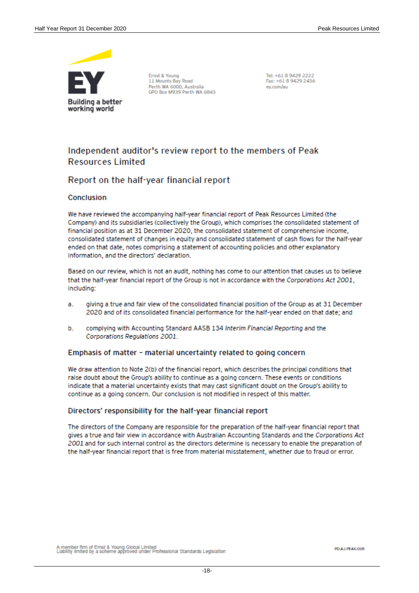

Ernst & Young 11 Mounts Bay Road Perth WA 6000, Australia<br>GPO Box M939 Perth WA 6843 Tel: +61 8 9429 2222 Fax: +61 8 9429 2436 ev.com/au

## Independent auditor's review report to the members of Peak **Resources Limited**

## Report on the half-year financial report

#### Conclusion

We have reviewed the accompanying half-year financial report of Peak Resources Limited (the Company) and its subsidiaries (collectively the Group), which comprises the consolidated statement of financial position as at 31 December 2020, the consolidated statement of comprehensive income, consolidated statement of changes in equity and consolidated statement of cash flows for the half-year ended on that date, notes comprising a statement of accounting policies and other explanatory information, and the directors' declaration.

Based on our review, which is not an audit, nothing has come to our attention that causes us to believe that the half-year financial report of the Group is not in accordance with the Corporations Act 2001, including:

- a. giving a true and fair view of the consolidated financial position of the Group as at 31 December 2020 and of its consolidated financial performance for the half-year ended on that date; and
- complying with Accounting Standard AASB 134 Interim Financial Reporting and the b. Corporations Regulations 2001.

#### Emphasis of matter - material uncertainty related to going concern

We draw attention to Note 2(b) of the financial report, which describes the principal conditions that raise doubt about the Group's ability to continue as a going concern. These events or conditions indicate that a material uncertainty exists that may cast significant doubt on the Group's ability to continue as a going concern. Our conclusion is not modified in respect of this matter.

#### Directors' responsibility for the half-year financial report

The directors of the Company are responsible for the preparation of the half-year financial report that gives a true and fair view in accordance with Australian Accounting Standards and the Corporations Act 2001 and for such internal control as the directors determine is necessary to enable the preparation of the half-year financial report that is free from material misstatement, whether due to fraud or error.